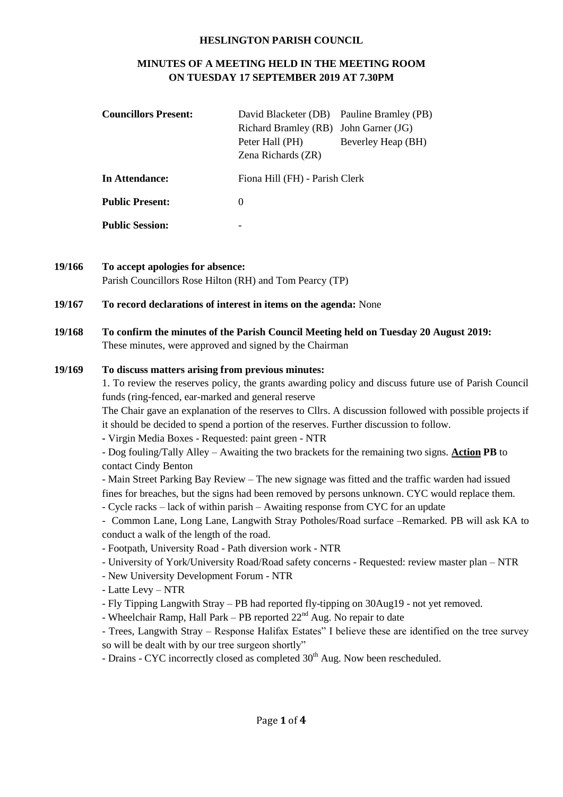#### **HESLINGTON PARISH COUNCIL**

### **MINUTES OF A MEETING HELD IN THE MEETING ROOM ON TUESDAY 17 SEPTEMBER 2019 AT 7.30PM**

| <b>Councillors Present:</b> | David Blacketer (DB) Pauline Bramley (PB)<br>Richard Bramley (RB) John Garner (JG)<br>Peter Hall (PH)<br>Zena Richards (ZR) | Beverley Heap (BH) |
|-----------------------------|-----------------------------------------------------------------------------------------------------------------------------|--------------------|
| In Attendance:              | Fiona Hill (FH) - Parish Clerk                                                                                              |                    |
| <b>Public Present:</b>      | $\Omega$                                                                                                                    |                    |
| <b>Public Session:</b>      | -                                                                                                                           |                    |

**19/166 To accept apologies for absence:** Parish Councillors Rose Hilton (RH) and Tom Pearcy (TP)

#### **19/167 To record declarations of interest in items on the agenda:** None

**19/168 To confirm the minutes of the Parish Council Meeting held on Tuesday 20 August 2019:** These minutes, were approved and signed by the Chairman

#### **19/169 To discuss matters arising from previous minutes:**

1. To review the reserves policy, the grants awarding policy and discuss future use of Parish Council funds (ring-fenced, ear-marked and general reserve

The Chair gave an explanation of the reserves to Cllrs. A discussion followed with possible projects if it should be decided to spend a portion of the reserves. Further discussion to follow.

**-** Virgin Media Boxes - Requested: paint green - NTR

- Dog fouling/Tally Alley – Awaiting the two brackets for the remaining two signs. **Action PB** to contact Cindy Benton

- Main Street Parking Bay Review The new signage was fitted and the traffic warden had issued fines for breaches, but the signs had been removed by persons unknown. CYC would replace them.
- Cycle racks lack of within parish Awaiting response from CYC for an update

- Common Lane, Long Lane, Langwith Stray Potholes/Road surface –Remarked. PB will ask KA to conduct a walk of the length of the road.

- Footpath, University Road Path diversion work NTR
- University of York/University Road/Road safety concerns Requested: review master plan NTR
- New University Development Forum NTR
- Latte Levy NTR
- Fly Tipping Langwith Stray PB had reported fly-tipping on 30Aug19 not yet removed.
- Wheelchair Ramp, Hall Park PB reported  $22<sup>nd</sup>$  Aug. No repair to date

- Trees, Langwith Stray – Response Halifax Estates" I believe these are identified on the tree survey so will be dealt with by our tree surgeon shortly"

- Drains - CYC incorrectly closed as completed  $30<sup>th</sup>$  Aug. Now been rescheduled.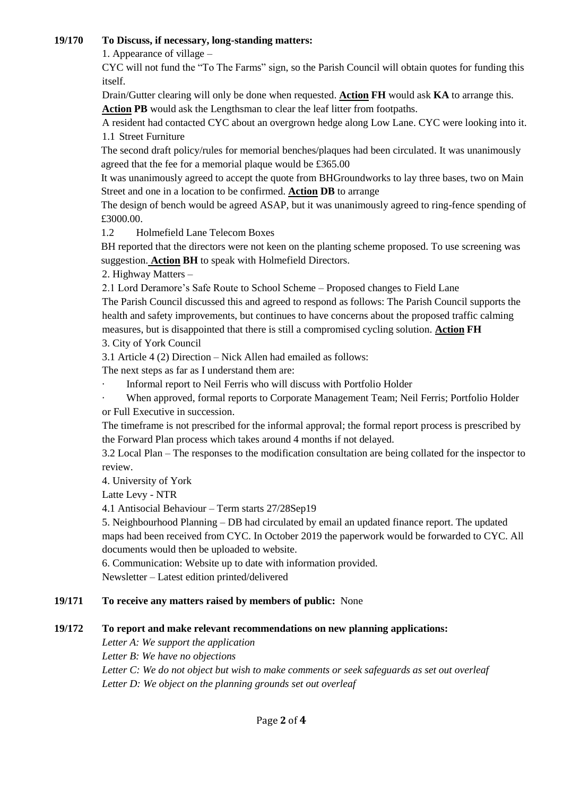## **19/170 To Discuss, if necessary, long-standing matters:**

1. Appearance of village –

CYC will not fund the "To The Farms" sign, so the Parish Council will obtain quotes for funding this itself.

Drain/Gutter clearing will only be done when requested. **Action FH** would ask **KA** to arrange this. **Action PB** would ask the Lengthsman to clear the leaf litter from footpaths.

A resident had contacted CYC about an overgrown hedge along Low Lane. CYC were looking into it. 1.1 Street Furniture

The second draft policy/rules for memorial benches/plaques had been circulated. It was unanimously agreed that the fee for a memorial plaque would be £365.00

It was unanimously agreed to accept the quote from BHGroundworks to lay three bases, two on Main Street and one in a location to be confirmed. **Action DB** to arrange

The design of bench would be agreed ASAP, but it was unanimously agreed to ring-fence spending of £3000.00.

1.2 Holmefield Lane Telecom Boxes

BH reported that the directors were not keen on the planting scheme proposed. To use screening was suggestion. **Action BH** to speak with Holmefield Directors.

2. Highway Matters –

2.1 Lord Deramore's Safe Route to School Scheme – Proposed changes to Field Lane

The Parish Council discussed this and agreed to respond as follows: The Parish Council supports the health and safety improvements, but continues to have concerns about the proposed traffic calming measures, but is disappointed that there is still a compromised cycling solution. **Action FH**

3. City of York Council

3.1 Article 4 (2) Direction – Nick Allen had emailed as follows:

The next steps as far as I understand them are:

· Informal report to Neil Ferris who will discuss with Portfolio Holder

When approved, formal reports to Corporate Management Team; Neil Ferris; Portfolio Holder or Full Executive in succession.

The timeframe is not prescribed for the informal approval; the formal report process is prescribed by the Forward Plan process which takes around 4 months if not delayed.

3.2 Local Plan – The responses to the modification consultation are being collated for the inspector to review.

4. University of York

Latte Levy - NTR

4.1 Antisocial Behaviour – Term starts 27/28Sep19

5. Neighbourhood Planning – DB had circulated by email an updated finance report. The updated maps had been received from CYC. In October 2019 the paperwork would be forwarded to CYC. All documents would then be uploaded to website.

6. Communication: Website up to date with information provided.

Newsletter – Latest edition printed/delivered

# **19/171 To receive any matters raised by members of public:** None

# **19/172 To report and make relevant recommendations on new planning applications:**

*Letter A: We support the application Letter B: We have no objections Letter C: We do not object but wish to make comments or seek safeguards as set out overleaf Letter D: We object on the planning grounds set out overleaf*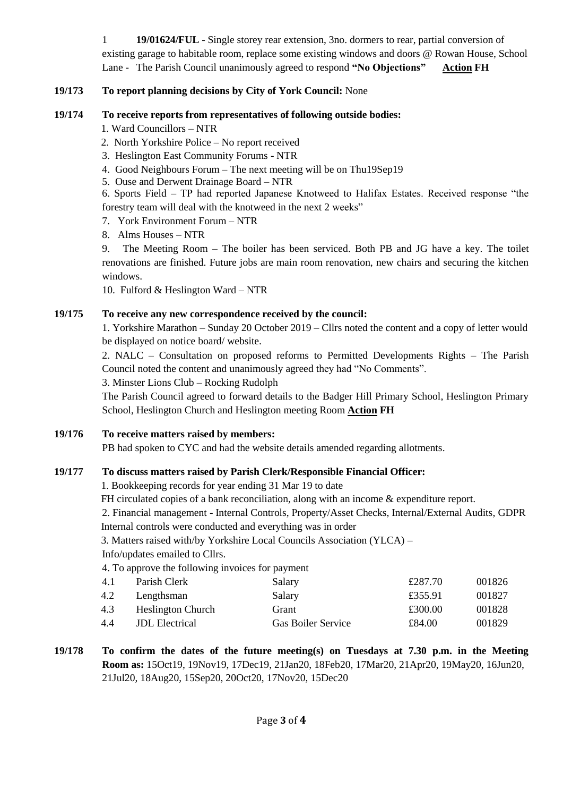1 **19/01624/FUL** - Single storey rear extension, 3no. dormers to rear, partial conversion of existing garage to habitable room, replace some existing windows and doors @ Rowan House, School Lane - The Parish Council unanimously agreed to respond **"No Objections" Action FH**

### **19/173 To report planning decisions by City of York Council:** None

## **19/174 To receive reports from representatives of following outside bodies:**

1. Ward Councillors – NTR

- 2. North Yorkshire Police No report received
- 3. Heslington East Community Forums NTR
- 4. Good Neighbours Forum The next meeting will be on Thu19Sep19
- 5. Ouse and Derwent Drainage Board NTR

6. Sports Field – TP had reported Japanese Knotweed to Halifax Estates. Received response "the forestry team will deal with the knotweed in the next 2 weeks"

- 7. York Environment Forum NTR
- 8. Alms Houses NTR

9. The Meeting Room – The boiler has been serviced. Both PB and JG have a key. The toilet renovations are finished. Future jobs are main room renovation, new chairs and securing the kitchen windows.

10. Fulford & Heslington Ward – NTR

#### **19/175 To receive any new correspondence received by the council:**

1. Yorkshire Marathon – Sunday 20 October 2019 – Cllrs noted the content and a copy of letter would be displayed on notice board/ website.

2. NALC – Consultation on proposed reforms to Permitted Developments Rights – The Parish Council noted the content and unanimously agreed they had "No Comments".

3. Minster Lions Club – Rocking Rudolph

The Parish Council agreed to forward details to the Badger Hill Primary School, Heslington Primary School, Heslington Church and Heslington meeting Room **Action FH**

#### **19/176 To receive matters raised by members:**

PB had spoken to CYC and had the website details amended regarding allotments.

#### **19/177 To discuss matters raised by Parish Clerk/Responsible Financial Officer:**

1. Bookkeeping records for year ending 31 Mar 19 to date

FH circulated copies of a bank reconciliation, along with an income & expenditure report.

2. Financial management - Internal Controls, Property/Asset Checks, Internal/External Audits, GDPR Internal controls were conducted and everything was in order

```
3. Matters raised with/by Yorkshire Local Councils Association (YLCA) –
```
Info/updates emailed to Cllrs.

4. To approve the following invoices for payment

| 4.1 | Parish Clerk             | Salary                    | £287.70 | 001826 |
|-----|--------------------------|---------------------------|---------|--------|
| 4.2 | Lengthsman               | Salary                    | £355.91 | 001827 |
| 4.3 | <b>Heslington Church</b> | Grant                     | £300.00 | 001828 |
| 4.4 | <b>JDL</b> Electrical    | <b>Gas Boiler Service</b> | £84.00  | 001829 |
|     |                          |                           |         |        |

**19/178 To confirm the dates of the future meeting(s) on Tuesdays at 7.30 p.m. in the Meeting Room as:** 15Oct19, 19Nov19, 17Dec19, 21Jan20, 18Feb20, 17Mar20, 21Apr20, 19May20, 16Jun20, 21Jul20, 18Aug20, 15Sep20, 20Oct20, 17Nov20, 15Dec20